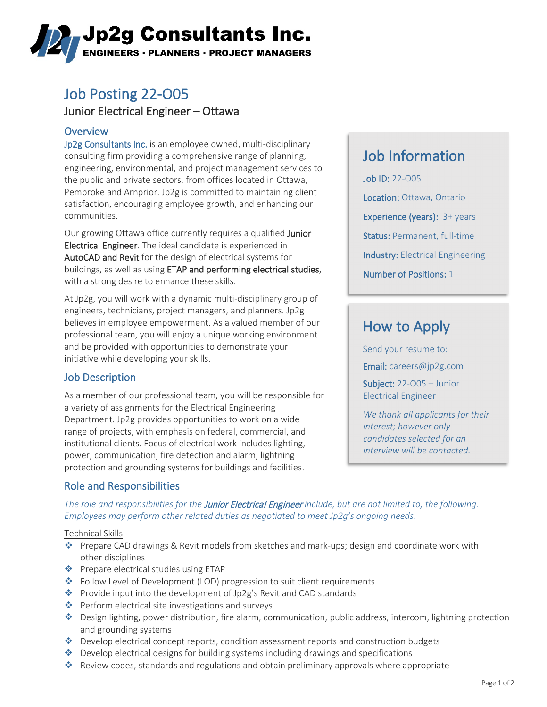# ,Jp2g Consultants Inc. **ENGINEERS · PLANNERS · PROJECT MANAGERS**

# Job Posting 22-O05

## Junior Electrical Engineer – Ottawa

### **Overview**

Jp2g Consultants Inc. is an employee owned, multi-disciplinary consulting firm providing a comprehensive range of planning, engineering, environmental, and project management services to the public and private sectors, from offices located in Ottawa, Pembroke and Arnprior. Jp2g is committed to maintaining client satisfaction, encouraging employee growth, and enhancing our communities.

Our growing Ottawa office currently requires a qualified Junior Electrical Engineer. The ideal candidate is experienced in AutoCAD and Revit for the design of electrical systems for buildings, as well as using ETAP and performing electrical studies, with a strong desire to enhance these skills.

At Jp2g, you will work with a dynamic multi-disciplinary group of engineers, technicians, project managers, and planners. Jp2g believes in employee empowerment. As a valued member of our professional team, you will enjoy a unique working environment and be provided with opportunities to demonstrate your initiative while developing your skills.

## Job Description

As a member of our professional team, you will be responsible for a variety of assignments for the Electrical Engineering Department. Jp2g provides opportunities to work on a wide range of projects, with emphasis on federal, commercial, and institutional clients. Focus of electrical work includes lighting, power, communication, fire detection and alarm, lightning protection and grounding systems for buildings and facilities.

# Job Information

Job ID: 22-O05 Location: Ottawa, Ontario Experience (years): 3+ years Status: Permanent, full-time Industry: Electrical Engineering Number of Positions: 1

# How to Apply

Send your resume to: Email: [careers@jp2g.com](mailto:careers@jp2g.com?subject=22-O05%20-%20Junior%20Electrical%20Engineer%20)

Subject: 22-O05 – Junior Electrical Engineer

*We thank all applicants for their interest; however only candidates selected for an interview will be contacted.*

## Role and Responsibilities

*The role and responsibilities for the* Junior Electrical Engineer *include, but are not limited to, the following. Employees may perform other related duties as negotiated to meet Jp2g's ongoing needs.*

### Technical Skills

- Prepare CAD drawings & Revit models from sketches and mark-ups; design and coordinate work with other disciplines
- ◆ Prepare electrical studies using ETAP
- $\cdot \cdot$  Follow Level of Development (LOD) progression to suit client requirements
- Provide input into the development of Jp2g's Revit and CAD standards
- $\bullet\bullet$  Perform electrical site investigations and surveys
- Design lighting, power distribution, fire alarm, communication, public address, intercom, lightning protection and grounding systems
- **<sup>◆</sup>** Develop electrical concept reports, condition assessment reports and construction budgets
- $\bullet$  Develop electrical designs for building systems including drawings and specifications
- \* Review codes, standards and regulations and obtain preliminary approvals where appropriate